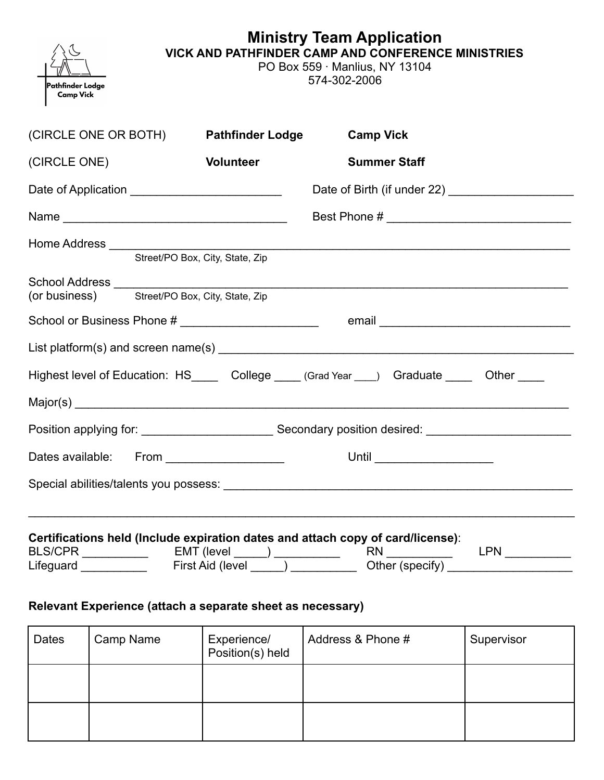| Pathfinder Lodge<br><b>Camp Vick</b>                                                      | <b>Ministry Team Application</b><br><b>VICK AND PATHFINDER CAMP AND CONFERENCE MINISTRIES</b><br>PO Box 559 · Manlius, NY 13104<br>574-302-2006 |                                                                                                                                                                                                                                |     |  |
|-------------------------------------------------------------------------------------------|-------------------------------------------------------------------------------------------------------------------------------------------------|--------------------------------------------------------------------------------------------------------------------------------------------------------------------------------------------------------------------------------|-----|--|
| (CIRCLE ONE OR BOTH)                                                                      | <b>Pathfinder Lodge</b>                                                                                                                         | <b>Camp Vick</b>                                                                                                                                                                                                               |     |  |
| (CIRCLE ONE)                                                                              | <b>Volunteer</b>                                                                                                                                | <b>Summer Staff</b>                                                                                                                                                                                                            |     |  |
|                                                                                           |                                                                                                                                                 |                                                                                                                                                                                                                                |     |  |
|                                                                                           |                                                                                                                                                 |                                                                                                                                                                                                                                |     |  |
|                                                                                           | Street/PO Box, City, State, Zip                                                                                                                 |                                                                                                                                                                                                                                |     |  |
| <b>School Address</b><br>(or business) Street/PO Box, City, State, Zip                    |                                                                                                                                                 |                                                                                                                                                                                                                                |     |  |
|                                                                                           |                                                                                                                                                 | email email and the contract of the contract of the contract of the contract of the contract of the contract of the contract of the contract of the contract of the contract of the contract of the contract of the contract o |     |  |
|                                                                                           |                                                                                                                                                 |                                                                                                                                                                                                                                |     |  |
| Highest level of Education: HS_____ College ____ (Grad Year ___) Graduate ____ Other ____ |                                                                                                                                                 |                                                                                                                                                                                                                                |     |  |
|                                                                                           |                                                                                                                                                 |                                                                                                                                                                                                                                |     |  |
|                                                                                           |                                                                                                                                                 |                                                                                                                                                                                                                                |     |  |
| Dates available: From __________________                                                  |                                                                                                                                                 | Until _______________________                                                                                                                                                                                                  |     |  |
|                                                                                           |                                                                                                                                                 |                                                                                                                                                                                                                                |     |  |
| Certifications held (Include expiration dates and attach copy of card/license):           | EMT (level ______) ____________                                                                                                                 | Other (specify)                                                                                                                                                                                                                | LPN |  |

## **Relevant Experience (attach a separate sheet as necessary)**

| <b>Dates</b> | Camp Name | Experience/<br>Position(s) held | Address & Phone # | Supervisor |
|--------------|-----------|---------------------------------|-------------------|------------|
|              |           |                                 |                   |            |
|              |           |                                 |                   |            |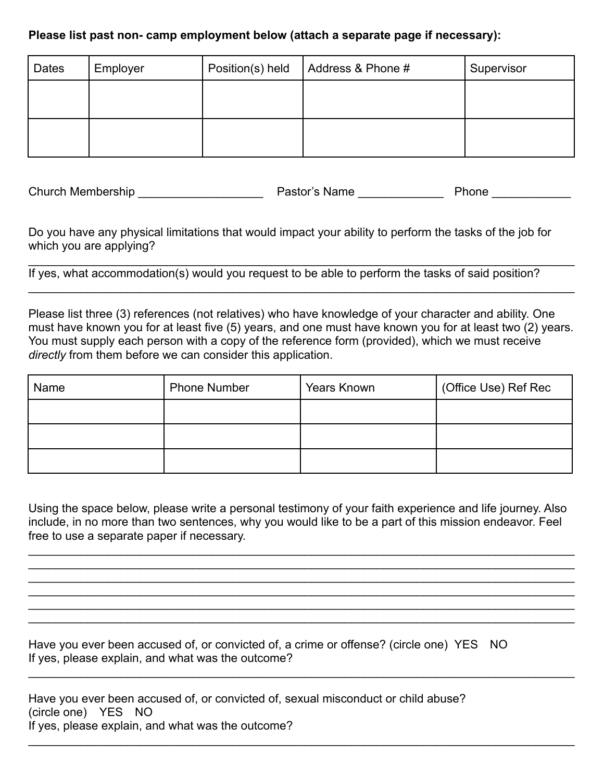## **Please list past non- camp employment below (attach a separate page if necessary):**

| <b>Dates</b> | Employer | Position(s) held | Address & Phone # | Supervisor |
|--------------|----------|------------------|-------------------|------------|
|              |          |                  |                   |            |
|              |          |                  |                   |            |
|              |          |                  |                   |            |

Church Membership \_\_\_\_\_\_\_\_\_\_\_\_\_\_\_\_\_\_\_ Pastor's Name \_\_\_\_\_\_\_\_\_\_\_\_\_ Phone \_\_\_\_\_\_\_\_\_\_\_\_

Do you have any physical limitations that would impact your ability to perform the tasks of the job for which you are applying?

 $\_$ If yes, what accommodation(s) would you request to be able to perform the tasks of said position?

Please list three (3) references (not relatives) who have knowledge of your character and ability. One must have known you for at least five (5) years, and one must have known you for at least two (2) years. You must supply each person with a copy of the reference form (provided), which we must receive *directly* from them before we can consider this application.

 $\_$ 

| Name | <b>Phone Number</b> | Years Known | (Office Use) Ref Rec |
|------|---------------------|-------------|----------------------|
|      |                     |             |                      |
|      |                     |             |                      |
|      |                     |             |                      |

Using the space below, please write a personal testimony of your faith experience and life journey. Also include, in no more than two sentences, why you would like to be a part of this mission endeavor. Feel free to use a separate paper if necessary.

 $\_$  $\_$  $\_$  $\_$  $\_$  $\_$ 

 $\_$ 

 $\_$ 

Have you ever been accused of, or convicted of, a crime or offense? (circle one) YES NO If yes, please explain, and what was the outcome?

Have you ever been accused of, or convicted of, sexual misconduct or child abuse? (circle one) YES NO If yes, please explain, and what was the outcome?